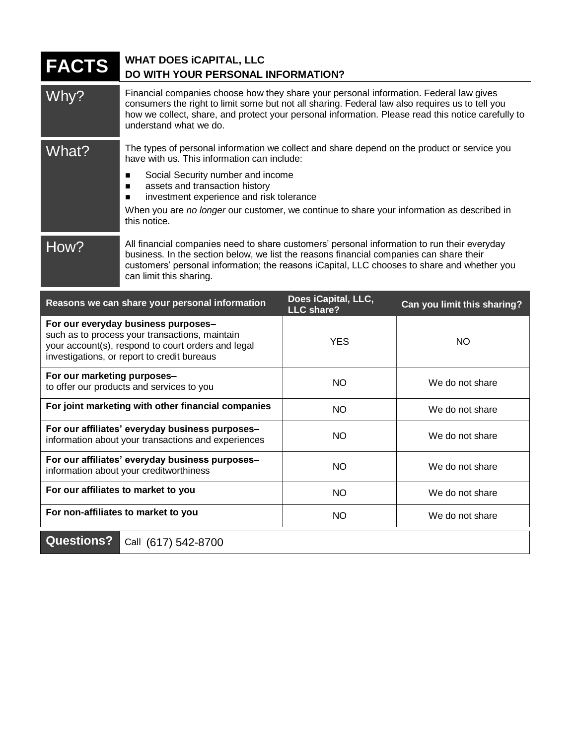| <b>FACTS</b>                | <b>WHAT DOES ICAPITAL, LLC</b><br>DO WITH YOUR PERSONAL INFORMATION?                                                                                                                                                                                                                                                      |                                          |                             |
|-----------------------------|---------------------------------------------------------------------------------------------------------------------------------------------------------------------------------------------------------------------------------------------------------------------------------------------------------------------------|------------------------------------------|-----------------------------|
| Why?                        | Financial companies choose how they share your personal information. Federal law gives<br>consumers the right to limit some but not all sharing. Federal law also requires us to tell you<br>how we collect, share, and protect your personal information. Please read this notice carefully to<br>understand what we do. |                                          |                             |
| What?                       | The types of personal information we collect and share depend on the product or service you<br>have with us. This information can include:                                                                                                                                                                                |                                          |                             |
|                             | Social Security number and income<br>$\blacksquare$<br>assets and transaction history<br>$\blacksquare$<br>investment experience and risk tolerance<br>■                                                                                                                                                                  |                                          |                             |
|                             | When you are no longer our customer, we continue to share your information as described in<br>this notice.                                                                                                                                                                                                                |                                          |                             |
| How?                        | All financial companies need to share customers' personal information to run their everyday<br>business. In the section below, we list the reasons financial companies can share their<br>customers' personal information; the reasons iCapital, LLC chooses to share and whether you<br>can limit this sharing.          |                                          |                             |
|                             |                                                                                                                                                                                                                                                                                                                           |                                          |                             |
|                             | Reasons we can share your personal information                                                                                                                                                                                                                                                                            | Does iCapital, LLC,<br><b>LLC share?</b> | Can you limit this sharing? |
|                             | For our everyday business purposes-<br>such as to process your transactions, maintain<br>your account(s), respond to court orders and legal<br>investigations, or report to credit bureaus                                                                                                                                | <b>YES</b>                               | NO                          |
| For our marketing purposes- | to offer our products and services to you                                                                                                                                                                                                                                                                                 | <b>NO</b>                                | We do not share             |
|                             | For joint marketing with other financial companies                                                                                                                                                                                                                                                                        | NO.                                      | We do not share             |
|                             | For our affiliates' everyday business purposes-<br>information about your transactions and experiences                                                                                                                                                                                                                    | <b>NO</b>                                | We do not share             |
|                             | For our affiliates' everyday business purposes-<br>information about your creditworthiness                                                                                                                                                                                                                                | <b>NO</b>                                | We do not share             |
|                             | For our affiliates to market to you                                                                                                                                                                                                                                                                                       | <b>NO</b>                                | We do not share             |

**Questions?** Call (617) 542-8700